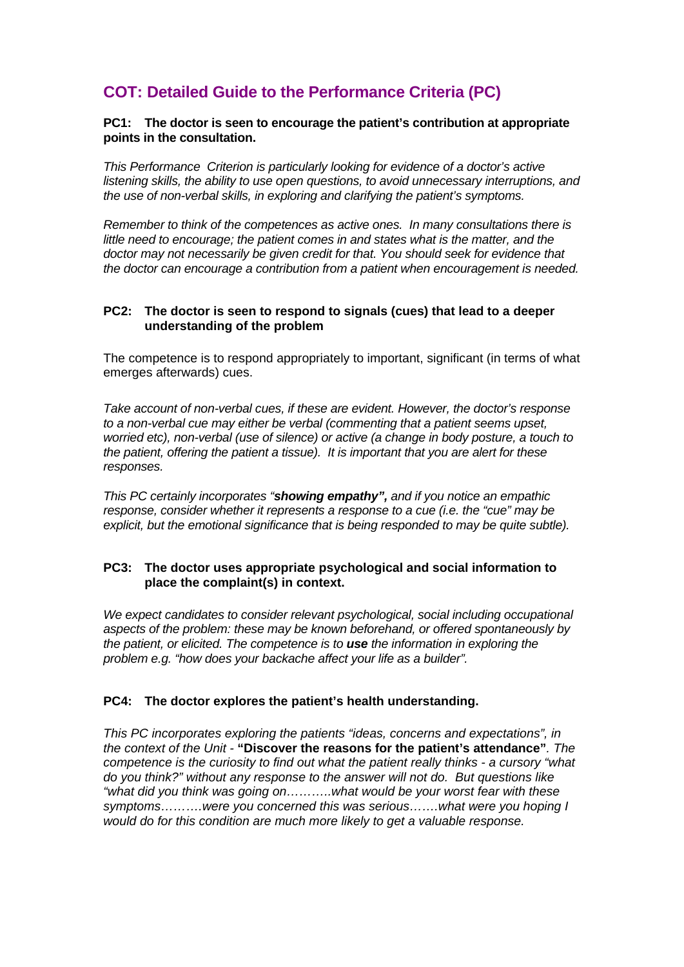# **COT: Detailed Guide to the Performance Criteria (PC)**

#### **PC1: The doctor is seen to encourage the patient's contribution at appropriate points in the consultation.**

*This Performance Criterion is particularly looking for evidence of a doctor's active listening skills, the ability to use open questions, to avoid unnecessary interruptions, and the use of non-verbal skills, in exploring and clarifying the patient's symptoms.* 

*Remember to think of the competences as active ones. In many consultations there is little need to encourage; the patient comes in and states what is the matter, and the doctor may not necessarily be given credit for that. You should seek for evidence that the doctor can encourage a contribution from a patient when encouragement is needed.* 

#### **PC2: The doctor is seen to respond to signals (cues) that lead to a deeper understanding of the problem**

The competence is to respond appropriately to important, significant (in terms of what emerges afterwards) cues.

*Take account of non-verbal cues, if these are evident. However, the doctor's response to a non-verbal cue may either be verbal (commenting that a patient seems upset, worried etc), non-verbal (use of silence) or active (a change in body posture, a touch to the patient, offering the patient a tissue). It is important that you are alert for these responses.* 

*This PC certainly incorporates "showing empathy", and if you notice an empathic response, consider whether it represents a response to a cue (i.e. the "cue" may be explicit, but the emotional significance that is being responded to may be quite subtle).* 

# **PC3: The doctor uses appropriate psychological and social information to place the complaint(s) in context.**

We expect candidates to consider relevant psychological, social including occupational *aspects of the problem: these may be known beforehand, or offered spontaneously by the patient, or elicited. The competence is to use the information in exploring the problem e.g. "how does your backache affect your life as a builder".* 

# **PC4: The doctor explores the patient's health understanding.**

*This PC incorporates exploring the patients "ideas, concerns and expectations", in the context of the Unit -* **"Discover the reasons for the patient's attendance"***. The competence is the curiosity to find out what the patient really thinks - a cursory "what do you think?" without any response to the answer will not do. But questions like "what did you think was going on………..what would be your worst fear with these symptoms……….were you concerned this was serious…….what were you hoping I would do for this condition are much more likely to get a valuable response.*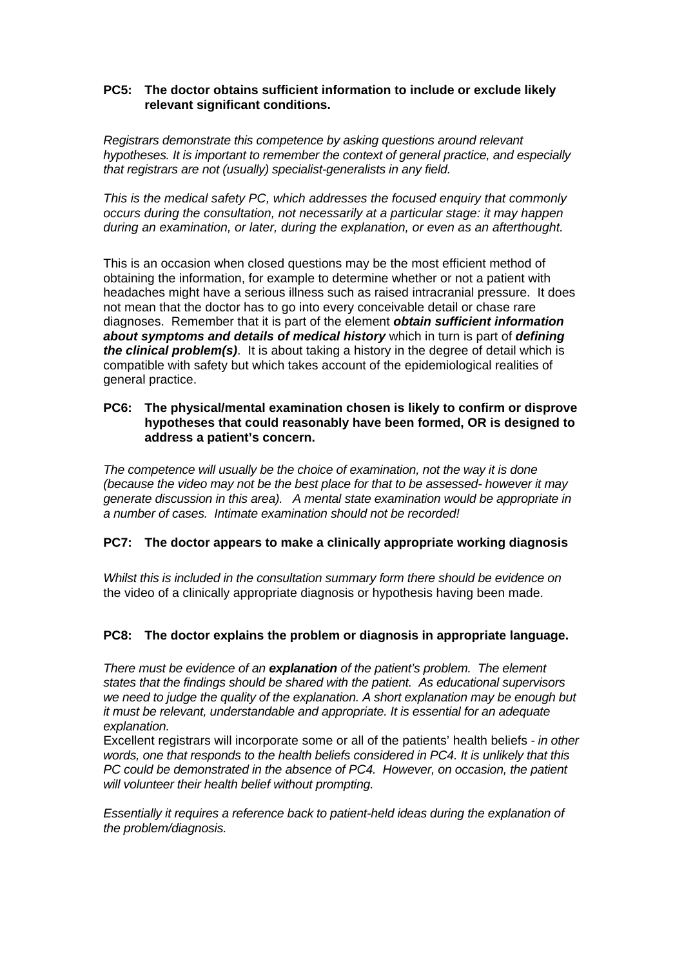#### **PC5: The doctor obtains sufficient information to include or exclude likely relevant significant conditions.**

*Registrars demonstrate this competence by asking questions around relevant hypotheses. It is important to remember the context of general practice, and especially that registrars are not (usually) specialist-generalists in any field.* 

*This is the medical safety PC, which addresses the focused enquiry that commonly occurs during the consultation, not necessarily at a particular stage: it may happen during an examination, or later, during the explanation, or even as an afterthought.* 

This is an occasion when closed questions may be the most efficient method of obtaining the information, for example to determine whether or not a patient with headaches might have a serious illness such as raised intracranial pressure. It does not mean that the doctor has to go into every conceivable detail or chase rare diagnoses. Remember that it is part of the element *obtain sufficient information about symptoms and details of medical history* which in turn is part of *defining the clinical problem(s)*. It is about taking a history in the degree of detail which is compatible with safety but which takes account of the epidemiological realities of general practice.

#### **PC6: The physical/mental examination chosen is likely to confirm or disprove hypotheses that could reasonably have been formed, OR is designed to address a patient's concern.**

*The competence will usually be the choice of examination, not the way it is done (because the video may not be the best place for that to be assessed- however it may generate discussion in this area). A mental state examination would be appropriate in a number of cases. Intimate examination should not be recorded!* 

# **PC7: The doctor appears to make a clinically appropriate working diagnosis**

*Whilst this is included in the consultation summary form there should be evidence on*  the video of a clinically appropriate diagnosis or hypothesis having been made.

# **PC8: The doctor explains the problem or diagnosis in appropriate language.**

*There must be evidence of an explanation of the patient's problem. The element states that the findings should be shared with the patient. As educational supervisors we need to judge the quality of the explanation. A short explanation may be enough but it must be relevant, understandable and appropriate. It is essential for an adequate explanation.* 

Excellent registrars will incorporate some or all of the patients' health beliefs *- in other words, one that responds to the health beliefs considered in PC4. It is unlikely that this PC could be demonstrated in the absence of PC4. However, on occasion, the patient will volunteer their health belief without prompting.* 

*Essentially it requires a reference back to patient-held ideas during the explanation of the problem/diagnosis.*